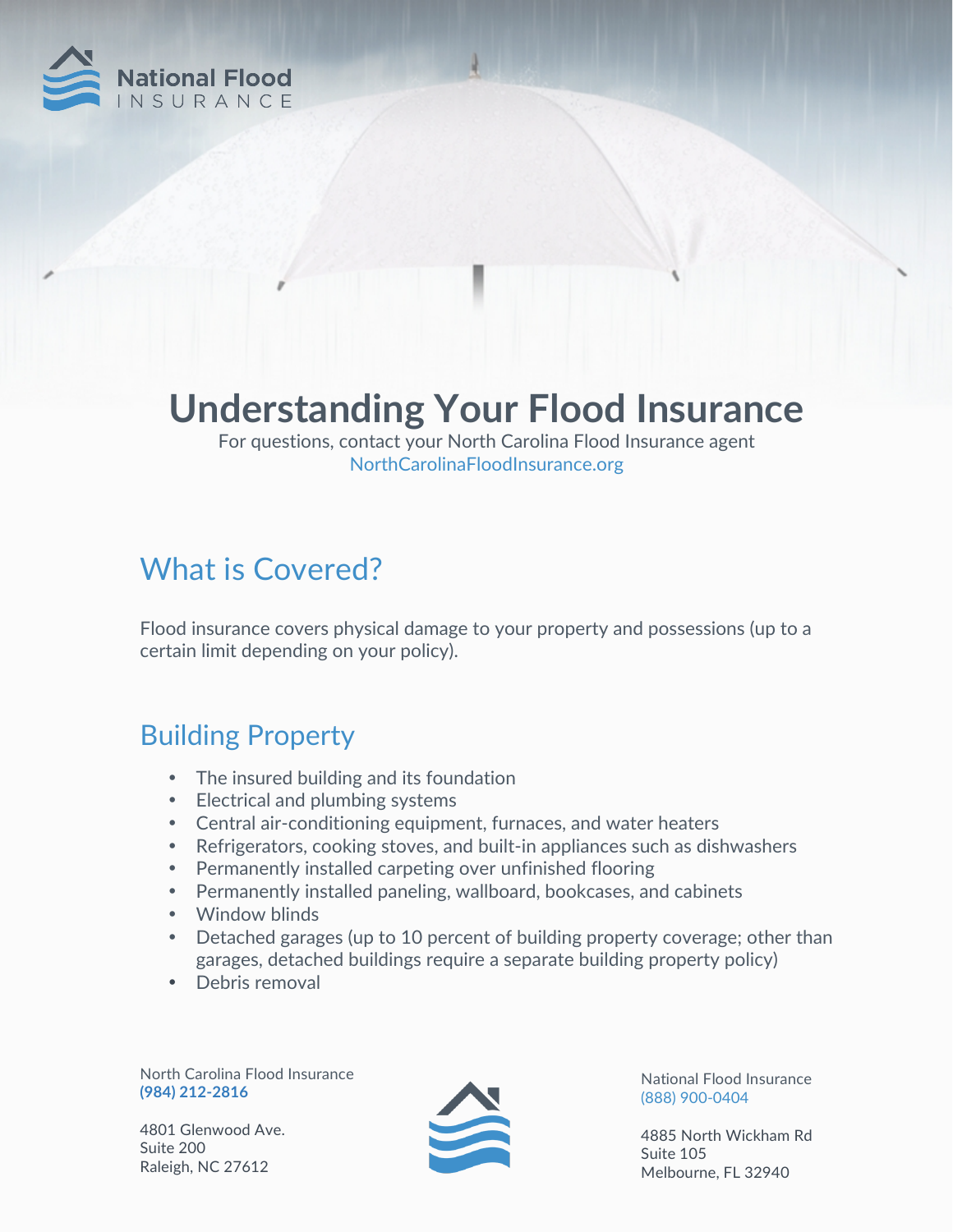

# **Understanding Your Flood Insurance**

For questions, contact your North Carolina Flood Insurance agent NorthCarolinaFloodInsurance.org

## What is Covered?

Flood insurance covers physical damage to your property and possessions (up to a certain limit depending on your policy).

#### Building Property

- The insured building and its foundation
- Electrical and plumbing systems
- Central air-conditioning equipment, furnaces, and water heaters
- Refrigerators, cooking stoves, and built-in appliances such as dishwashers
- Permanently installed carpeting over unfinished flooring
- Permanently installed paneling, wallboard, bookcases, and cabinets
- Window blinds
- Detached garages (up to 10 percent of building property coverage; other than garages, detached buildings require a separate building property policy)
- Debris removal

North Carolina Flood Insurance **(984) 212-2816**

4801 Glenwood Ave. Suite 200 Raleigh, NC 27612



National Flood Insurance (888) 900-0404

4885 North Wickham Rd Suite 105 Melbourne, FL 32940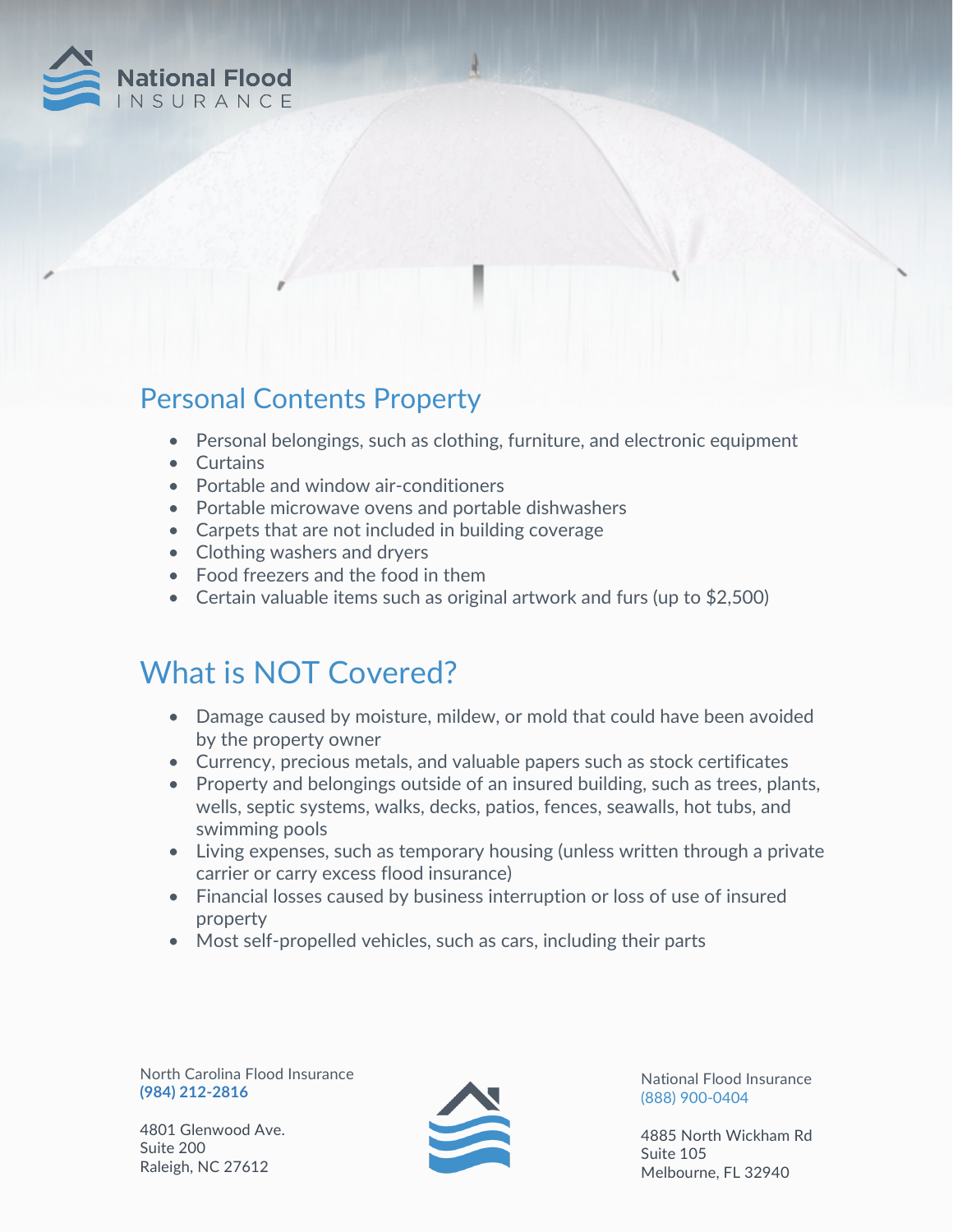

#### Personal Contents Property

- Personal belongings, such as clothing, furniture, and electronic equipment
- Curtains
- Portable and window air-conditioners
- Portable microwave ovens and portable dishwashers
- Carpets that are not included in building coverage
- Clothing washers and dryers
- Food freezers and the food in them
- Certain valuable items such as original artwork and furs (up to \$2,500)

### What is NOT Covered?

- Damage caused by moisture, mildew, or mold that could have been avoided by the property owner
- Currency, precious metals, and valuable papers such as stock certificates
- Property and belongings outside of an insured building, such as trees, plants, wells, septic systems, walks, decks, patios, fences, seawalls, hot tubs, and swimming pools
- Living expenses, such as temporary housing (unless written through a private carrier or carry excess flood insurance)
- Financial losses caused by business interruption or loss of use of insured property
- Most self-propelled vehicles, such as cars, including their parts

North Carolina Flood Insurance **(984) 212-2816**

4801 Glenwood Ave. Suite 200 Raleigh, NC 27612



National Flood Insurance (888) 900-0404

4885 North Wickham Rd Suite 105 Melbourne, FL 32940